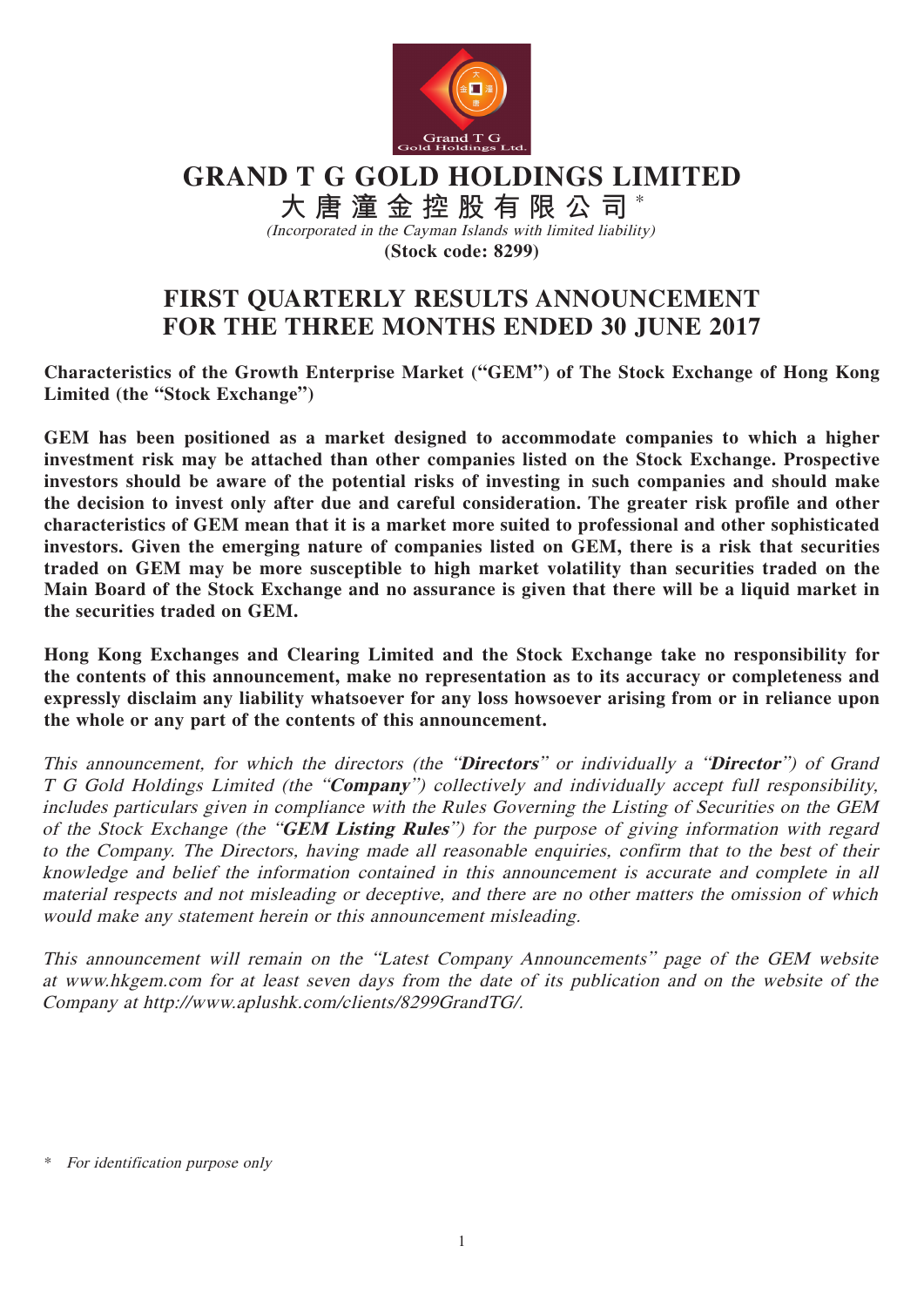

**GRAND T G GOLD HOLDINGS LIMITED**

**大唐潼金控股有限公司** \* (Incorporated in the Cayman Islands with limited liability) **(Stock code: 8299)**

# **FIRST QUARTERLY RESULTS ANNOUNCEMENT FOR THE THREE MONTHS ENDED 30 JUNE 2017**

**Characteristics of the Growth Enterprise Market ("GEM") of The Stock Exchange of Hong Kong Limited (the "Stock Exchange")**

**GEM has been positioned as a market designed to accommodate companies to which a higher investment risk may be attached than other companies listed on the Stock Exchange. Prospective investors should be aware of the potential risks of investing in such companies and should make the decision to invest only after due and careful consideration. The greater risk profile and other characteristics of GEM mean that it is a market more suited to professional and other sophisticated investors. Given the emerging nature of companies listed on GEM, there is a risk that securities traded on GEM may be more susceptible to high market volatility than securities traded on the Main Board of the Stock Exchange and no assurance is given that there will be a liquid market in the securities traded on GEM.**

**Hong Kong Exchanges and Clearing Limited and the Stock Exchange take no responsibility for the contents of this announcement, make no representation as to its accuracy or completeness and expressly disclaim any liability whatsoever for any loss howsoever arising from or in reliance upon the whole or any part of the contents of this announcement.**

This announcement, for which the directors (the "**Directors**" or individually a "**Director**") of Grand T G Gold Holdings Limited (the "**Company**") collectively and individually accept full responsibility, includes particulars given in compliance with the Rules Governing the Listing of Securities on the GEM of the Stock Exchange (the "**GEM Listing Rules**") for the purpose of giving information with regard to the Company. The Directors, having made all reasonable enquiries, confirm that to the best of their knowledge and belief the information contained in this announcement is accurate and complete in all material respects and not misleading or deceptive, and there are no other matters the omission of which would make any statement herein or this announcement misleading.

This announcement will remain on the "Latest Company Announcements" page of the GEM website at www.hkgem.com for at least seven days from the date of its publication and on the website of the Company at http://www.aplushk.com/clients/8299GrandTG/.

For identification purpose only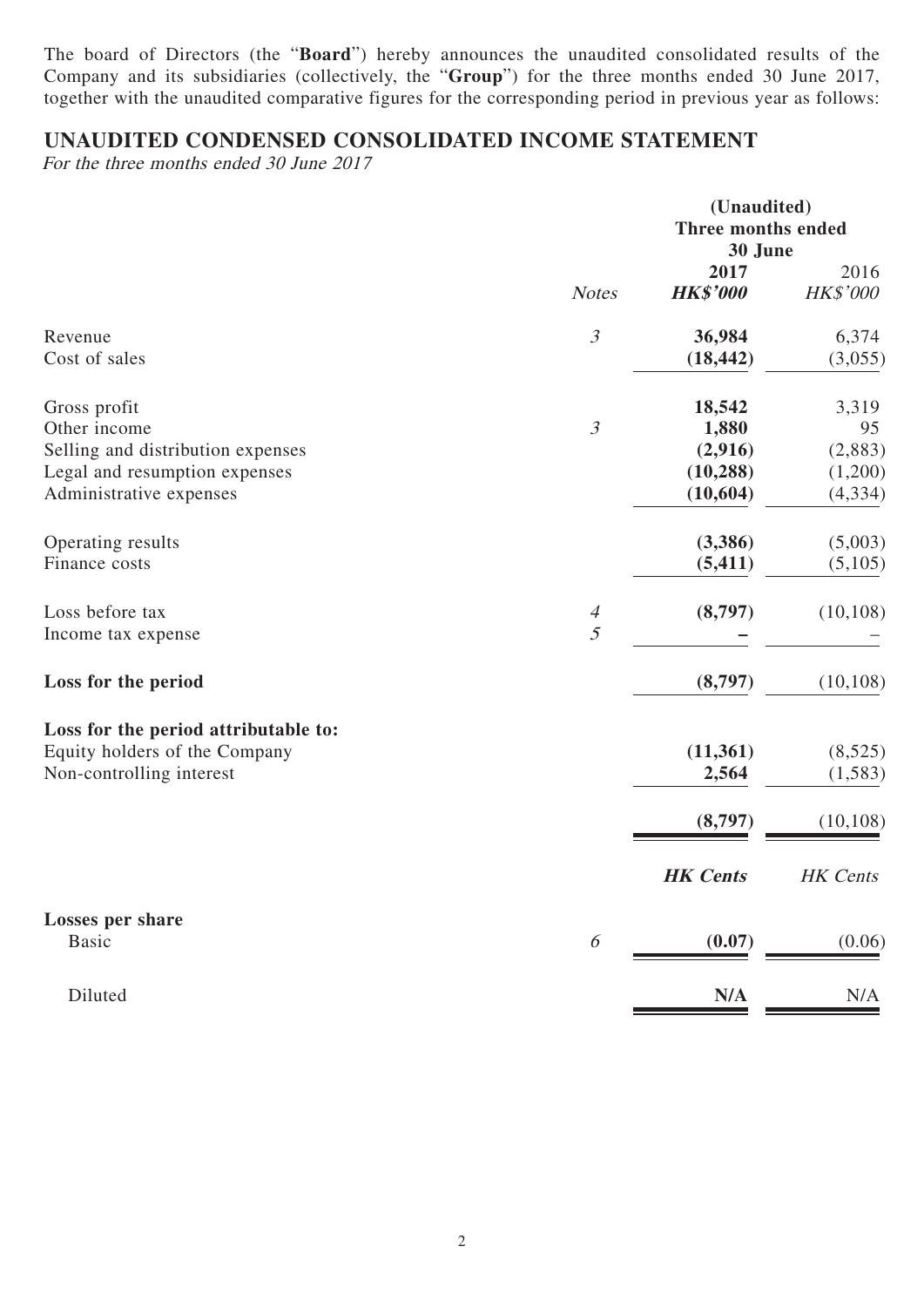The board of Directors (the "**Board**") hereby announces the unaudited consolidated results of the Company and its subsidiaries (collectively, the "**Group**") for the three months ended 30 June 2017, together with the unaudited comparative figures for the corresponding period in previous year as follows:

## **UNAUDITED CONDENSED CONSOLIDATED INCOME STATEMENT**

For the three months ended 30 June 2017

|                                      | (Unaudited)<br>Three months ended<br>30 June |                         |                  |
|--------------------------------------|----------------------------------------------|-------------------------|------------------|
|                                      | <b>Notes</b>                                 | 2017<br><b>HK\$'000</b> | 2016<br>HK\$'000 |
| Revenue                              | $\mathfrak{Z}$                               | 36,984                  | 6,374            |
| Cost of sales                        |                                              | (18, 442)               | (3,055)          |
| Gross profit                         |                                              | 18,542                  | 3,319            |
| Other income                         | $\mathfrak{Z}$                               | 1,880                   | 95               |
| Selling and distribution expenses    |                                              | (2,916)                 | (2,883)          |
| Legal and resumption expenses        |                                              | (10, 288)               | (1,200)          |
| Administrative expenses              |                                              | (10, 604)               | (4, 334)         |
| Operating results                    |                                              | (3,386)                 | (5,003)          |
| Finance costs                        |                                              | (5, 411)                | (5,105)          |
| Loss before tax                      | $\overline{A}$                               | (8,797)                 | (10, 108)        |
| Income tax expense                   | 5                                            |                         |                  |
| Loss for the period                  |                                              | (8,797)                 | (10, 108)        |
| Loss for the period attributable to: |                                              |                         |                  |
| Equity holders of the Company        |                                              | (11, 361)               | (8,525)          |
| Non-controlling interest             |                                              | 2,564                   | (1, 583)         |
|                                      |                                              | (8,797)                 | (10, 108)        |
|                                      |                                              | <b>HK</b> Cents         | <b>HK</b> Cents  |
| <b>Losses per share</b>              |                                              |                         |                  |
| <b>Basic</b>                         | 6                                            | (0.07)                  | (0.06)           |
| Diluted                              |                                              | N/A                     | N/A              |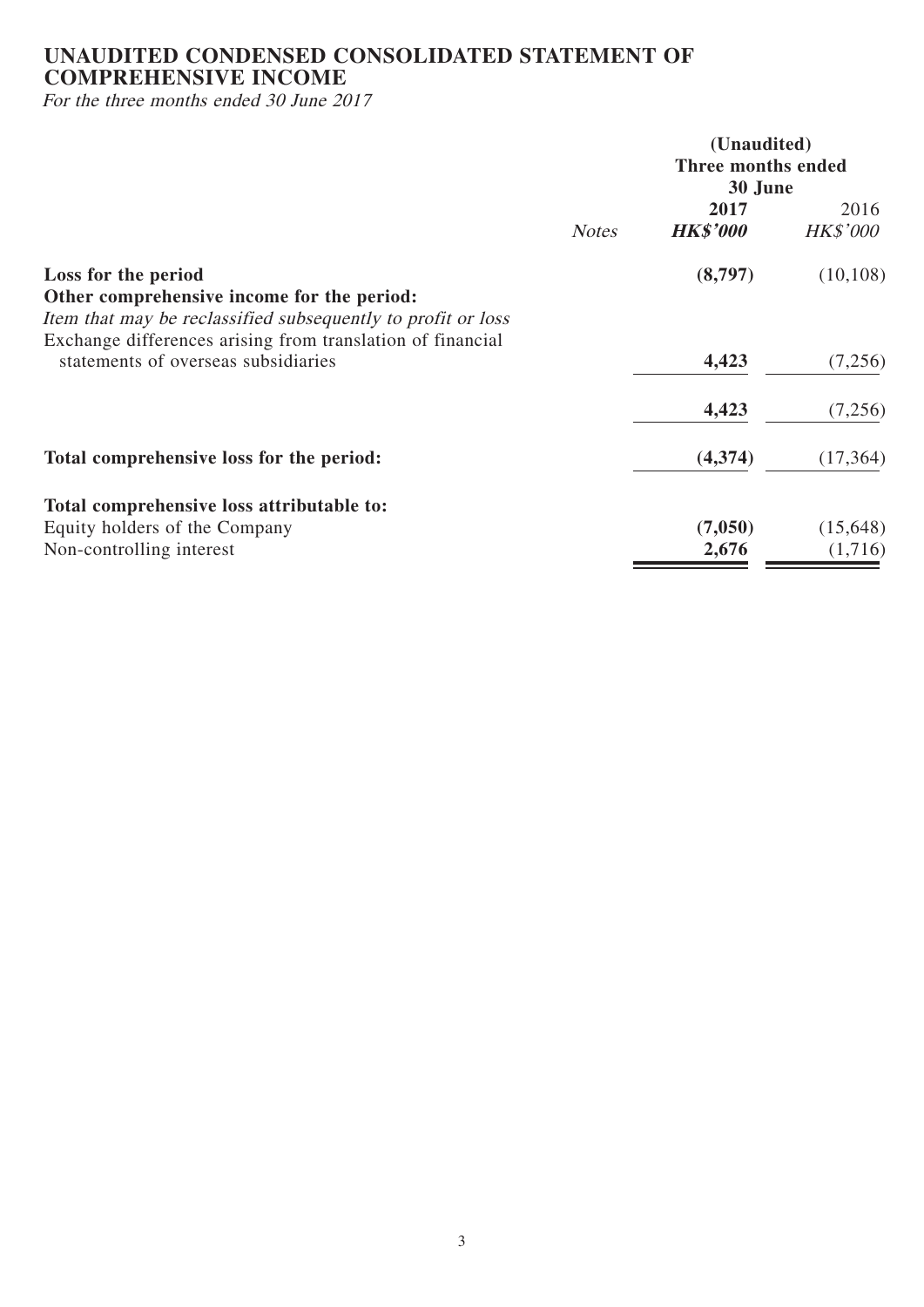# **UNAUDITED CONDENSED CONSOLIDATED STATEMENT OF COMPREHENSIVE INCOME**

For the three months ended 30 June 2017

|                                                                                                                                                                                                 |                               | (Unaudited)             |                         |  |
|-------------------------------------------------------------------------------------------------------------------------------------------------------------------------------------------------|-------------------------------|-------------------------|-------------------------|--|
|                                                                                                                                                                                                 | Three months ended<br>30 June |                         |                         |  |
|                                                                                                                                                                                                 | <b>Notes</b>                  | 2017<br><b>HK\$'000</b> | 2016<br><b>HK\$'000</b> |  |
| Loss for the period<br>Other comprehensive income for the period:<br>Item that may be reclassified subsequently to profit or loss<br>Exchange differences arising from translation of financial |                               | (8,797)                 | (10, 108)               |  |
| statements of overseas subsidiaries                                                                                                                                                             |                               | 4,423                   | (7,256)                 |  |
|                                                                                                                                                                                                 |                               | 4,423                   | (7,256)                 |  |
| Total comprehensive loss for the period:                                                                                                                                                        |                               | (4,374)                 | (17, 364)               |  |
| Total comprehensive loss attributable to:                                                                                                                                                       |                               |                         |                         |  |
| Equity holders of the Company<br>Non-controlling interest                                                                                                                                       |                               | (7,050)<br>2,676        | (15,648)<br>(1,716)     |  |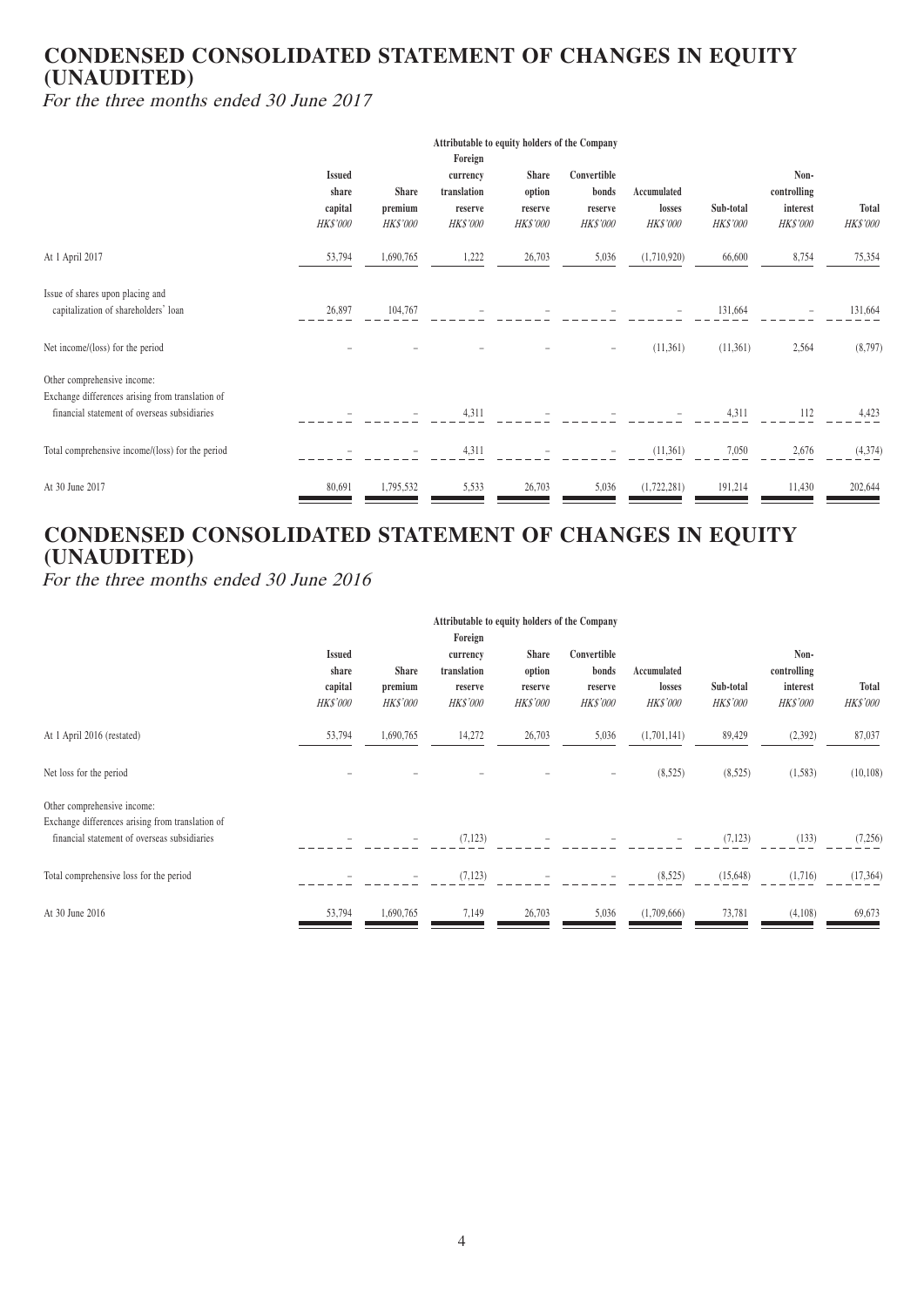## **CONDENSED CONSOLIDATED STATEMENT OF CHANGES IN EQUITY (UNAUDITED)**

For the three months ended 30 June 2017

|                                                                                                                                 | Attributable to equity holders of the Company        |                                     |                                                                  |                                               |                                                    |                                          |                              |                                             |                          |
|---------------------------------------------------------------------------------------------------------------------------------|------------------------------------------------------|-------------------------------------|------------------------------------------------------------------|-----------------------------------------------|----------------------------------------------------|------------------------------------------|------------------------------|---------------------------------------------|--------------------------|
|                                                                                                                                 | <b>Issued</b><br>share<br>capital<br><b>HK\$'000</b> | Share<br>premium<br><i>HK\$'000</i> | Foreign<br>currency<br>translation<br>reserve<br><b>HK\$'000</b> | Share<br>option<br>reserve<br><i>HK\$'000</i> | Convertible<br>bonds<br>reserve<br><b>HK\$'000</b> | Accumulated<br>losses<br><b>HK\$'000</b> | Sub-total<br><b>HK\$'000</b> | Non-<br>controlling<br>interest<br>HK\$'000 | Total<br><b>HK\$'000</b> |
| At 1 April 2017                                                                                                                 | 53,794                                               | 1,690,765                           | 1,222                                                            | 26,703                                        | 5,036                                              | (1,710,920)                              | 66,600                       | 8,754                                       | 75,354                   |
| Issue of shares upon placing and<br>capitalization of shareholders' loan                                                        | 26,897                                               | 104,767                             |                                                                  |                                               |                                                    |                                          | 131,664                      | -                                           | 131,664                  |
| Net income/(loss) for the period                                                                                                |                                                      |                                     |                                                                  |                                               |                                                    | (11,361)                                 | (11,361)                     | 2,564                                       | (8,797)                  |
| Other comprehensive income:<br>Exchange differences arising from translation of<br>financial statement of overseas subsidiaries |                                                      |                                     | 4,311                                                            |                                               |                                                    |                                          | 4,311                        | 112                                         | 4,423                    |
| Total comprehensive income/(loss) for the period                                                                                |                                                      |                                     | 4,311                                                            |                                               |                                                    | (11,361)                                 | 7,050                        | 2,676                                       | (4,374)                  |
| At 30 June 2017                                                                                                                 | 80,691                                               | 1,795,532                           | 5,533                                                            | 26,703                                        | 5,036                                              | (1,722,281)                              | 191,214                      | 11,430                                      | 202,644                  |

# **CONDENSED CONSOLIDATED STATEMENT OF CHANGES IN EQUITY (UNAUDITED)**

For the three months ended 30 June 2016

|                                                                                                                                 | Attributable to equity holders of the Company<br>Foreign |                                            |                                                       |                                                      |                                                    |                                          |                              |                                                    |                                 |
|---------------------------------------------------------------------------------------------------------------------------------|----------------------------------------------------------|--------------------------------------------|-------------------------------------------------------|------------------------------------------------------|----------------------------------------------------|------------------------------------------|------------------------------|----------------------------------------------------|---------------------------------|
|                                                                                                                                 | <b>Issued</b><br>share<br>capital<br><b>HK\$'000</b>     | <b>Share</b><br>premium<br><b>HK\$'000</b> | currency<br>translation<br>reserve<br><b>HK\$'000</b> | <b>Share</b><br>option<br>reserve<br><b>HK\$'000</b> | Convertible<br>bonds<br>reserve<br><i>HK\$'000</i> | Accumulated<br>losses<br><b>HK\$'000</b> | Sub-total<br><b>HK\$'000</b> | Non-<br>controlling<br>interest<br><b>HK\$'000</b> | <b>Total</b><br><i>HK\$'000</i> |
| At 1 April 2016 (restated)                                                                                                      | 53,794                                                   | 1,690,765                                  | 14,272                                                | 26,703                                               | 5,036                                              | (1,701,141)                              | 89,429                       | (2, 392)                                           | 87,037                          |
| Net loss for the period                                                                                                         |                                                          |                                            |                                                       |                                                      | $\overline{\phantom{0}}$                           | (8,525)                                  | (8,525)                      | (1,583)                                            | (10, 108)                       |
| Other comprehensive income:<br>Exchange differences arising from translation of<br>financial statement of overseas subsidiaries |                                                          |                                            | (7, 123)                                              |                                                      |                                                    |                                          | (7, 123)                     | (133)                                              | (7,256)                         |
| Total comprehensive loss for the period                                                                                         |                                                          |                                            | (7, 123)                                              |                                                      |                                                    | (8,525)                                  | (15,648)                     | (1,716)                                            | (17, 364)                       |
| At 30 June 2016                                                                                                                 | 53,794                                                   | 1,690,765                                  | 7,149                                                 | 26,703                                               | 5,036                                              | (1,709,666)                              | 73,781                       | (4,108)                                            | 69,673                          |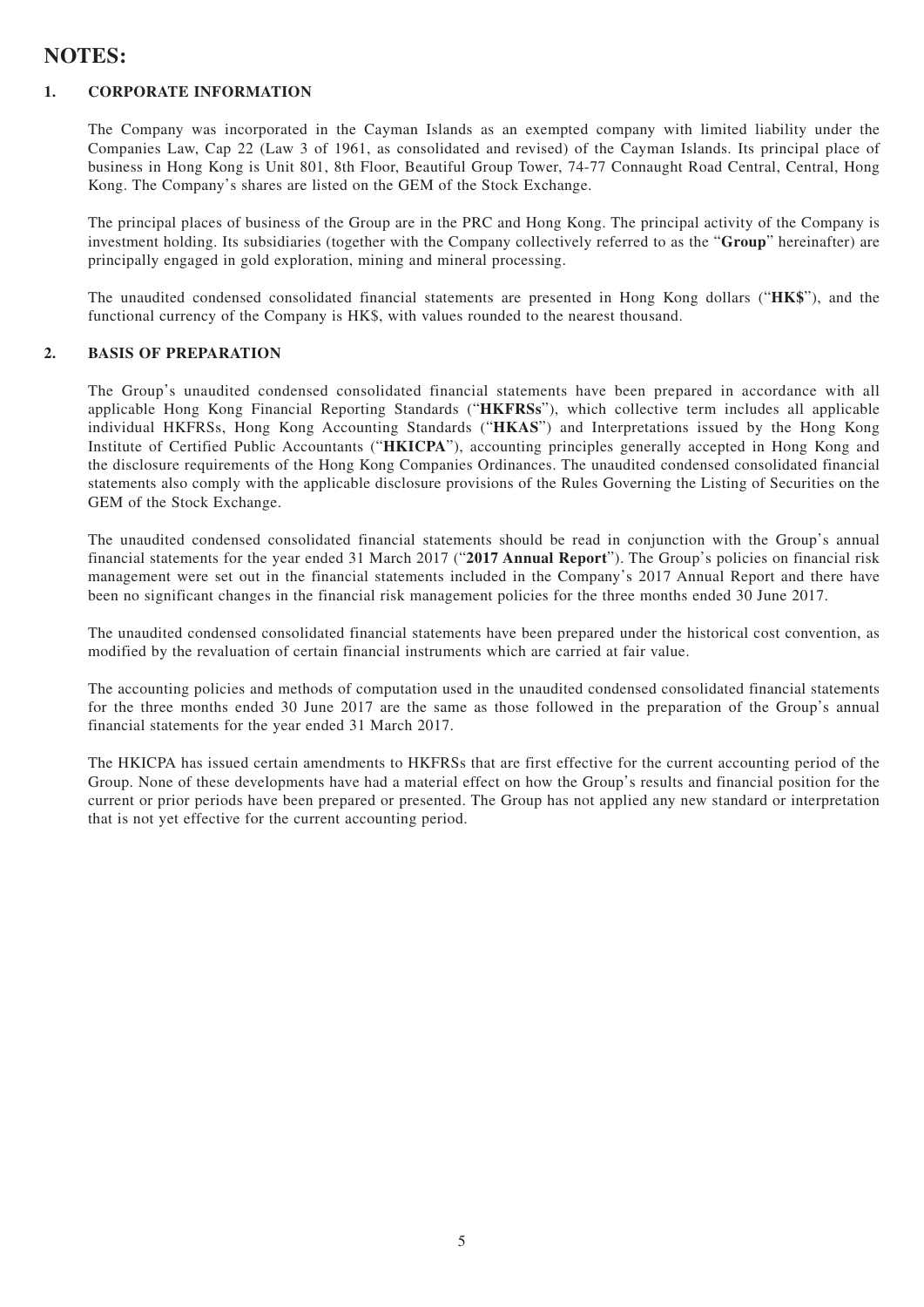## **NOTES:**

#### **1. CORPORATE INFORMATION**

The Company was incorporated in the Cayman Islands as an exempted company with limited liability under the Companies Law, Cap 22 (Law 3 of 1961, as consolidated and revised) of the Cayman Islands. Its principal place of business in Hong Kong is Unit 801, 8th Floor, Beautiful Group Tower, 74-77 Connaught Road Central, Central, Hong Kong. The Company's shares are listed on the GEM of the Stock Exchange.

The principal places of business of the Group are in the PRC and Hong Kong. The principal activity of the Company is investment holding. Its subsidiaries (together with the Company collectively referred to as the "**Group**" hereinafter) are principally engaged in gold exploration, mining and mineral processing.

The unaudited condensed consolidated financial statements are presented in Hong Kong dollars ("**HK\$**"), and the functional currency of the Company is HK\$, with values rounded to the nearest thousand.

#### **2. BASIS OF PREPARATION**

The Group's unaudited condensed consolidated financial statements have been prepared in accordance with all applicable Hong Kong Financial Reporting Standards ("**HKFRSs**"), which collective term includes all applicable individual HKFRSs, Hong Kong Accounting Standards ("**HKAS**") and Interpretations issued by the Hong Kong Institute of Certified Public Accountants ("**HKICPA**"), accounting principles generally accepted in Hong Kong and the disclosure requirements of the Hong Kong Companies Ordinances. The unaudited condensed consolidated financial statements also comply with the applicable disclosure provisions of the Rules Governing the Listing of Securities on the GEM of the Stock Exchange.

The unaudited condensed consolidated financial statements should be read in conjunction with the Group's annual financial statements for the year ended 31 March 2017 ("**2017 Annual Report**"). The Group's policies on financial risk management were set out in the financial statements included in the Company's 2017 Annual Report and there have been no significant changes in the financial risk management policies for the three months ended 30 June 2017.

The unaudited condensed consolidated financial statements have been prepared under the historical cost convention, as modified by the revaluation of certain financial instruments which are carried at fair value.

The accounting policies and methods of computation used in the unaudited condensed consolidated financial statements for the three months ended 30 June 2017 are the same as those followed in the preparation of the Group's annual financial statements for the year ended 31 March 2017.

The HKICPA has issued certain amendments to HKFRSs that are first effective for the current accounting period of the Group. None of these developments have had a material effect on how the Group's results and financial position for the current or prior periods have been prepared or presented. The Group has not applied any new standard or interpretation that is not yet effective for the current accounting period.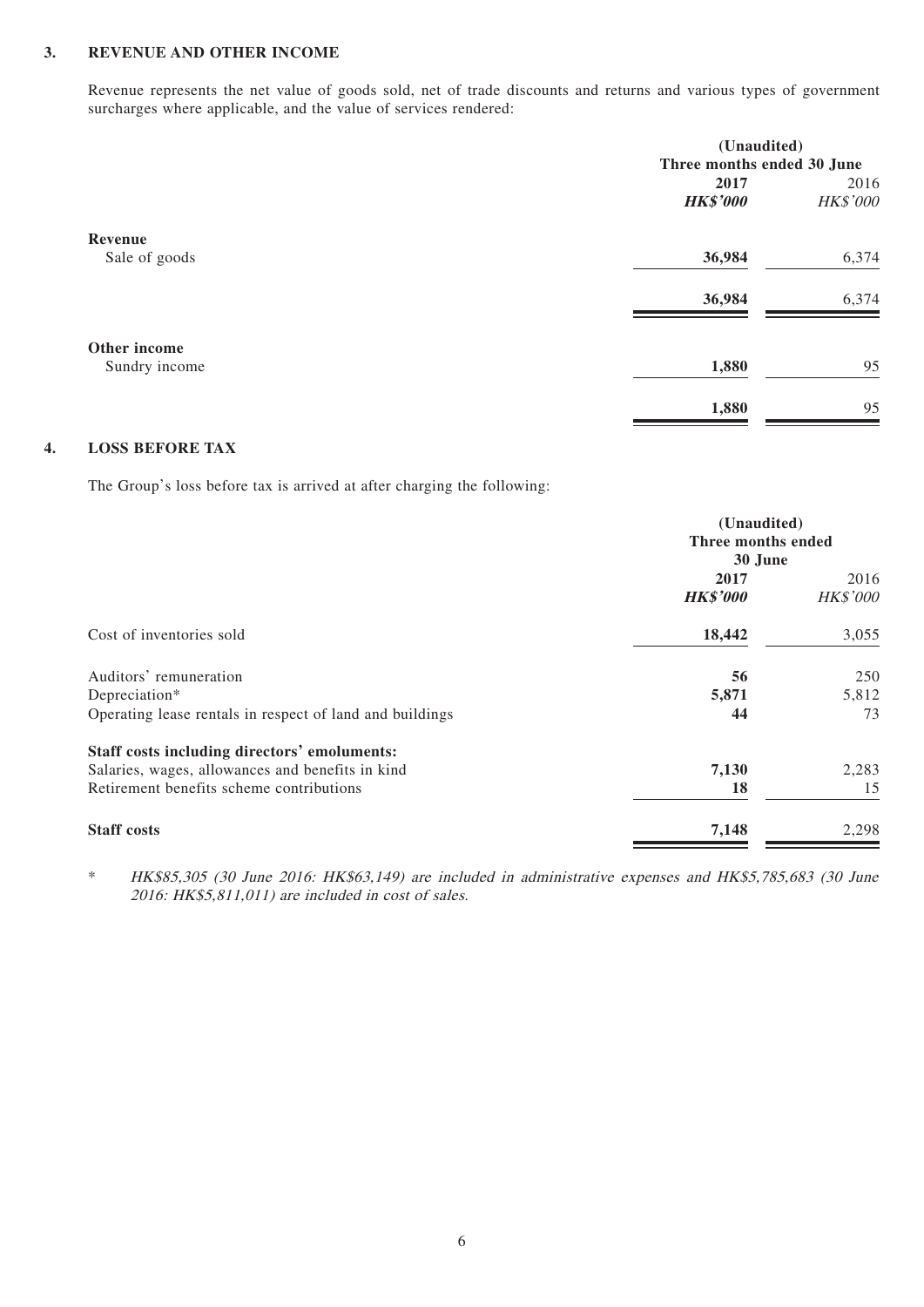#### **3. REVENUE AND OTHER INCOME**

Revenue represents the net value of goods sold, net of trade discounts and returns and various types of government surcharges where applicable, and the value of services rendered:

|               |                            | (Unaudited) |  |  |
|---------------|----------------------------|-------------|--|--|
|               | Three months ended 30 June |             |  |  |
|               | 2017                       | 2016        |  |  |
|               | <b>HK\$'000</b>            | HK\$'000    |  |  |
| Revenue       |                            |             |  |  |
| Sale of goods | 36,984                     | 6,374       |  |  |
|               |                            |             |  |  |
|               | 36,984                     | 6,374       |  |  |
| Other income  |                            |             |  |  |
| Sundry income | 1,880                      | 95          |  |  |
|               |                            |             |  |  |
|               | 1,880                      | 95          |  |  |
|               |                            |             |  |  |

#### **4. LOSS BEFORE TAX**

The Group's loss before tax is arrived at after charging the following:

|                                                          | (Unaudited)<br>Three months ended<br>30 June |          |  |
|----------------------------------------------------------|----------------------------------------------|----------|--|
|                                                          |                                              |          |  |
|                                                          |                                              |          |  |
|                                                          | 2017                                         |          |  |
|                                                          | <b>HK\$'000</b>                              | HK\$'000 |  |
| Cost of inventories sold                                 | 18,442                                       | 3,055    |  |
| Auditors' remuneration                                   | 56                                           | 250      |  |
| Depreciation*                                            | 5,871                                        | 5,812    |  |
| Operating lease rentals in respect of land and buildings | 44                                           | 73       |  |
| Staff costs including directors' emoluments:             |                                              |          |  |
| Salaries, wages, allowances and benefits in kind         | 7,130                                        | 2,283    |  |
| Retirement benefits scheme contributions                 | 18                                           | 15       |  |
| <b>Staff</b> costs                                       | 7,148                                        | 2,298    |  |

\* HK\$85,305 (30 June 2016: HK\$63,149) are included in administrative expenses and HK\$5,785,683 (30 June 2016: HK\$5,811,011) are included in cost of sales.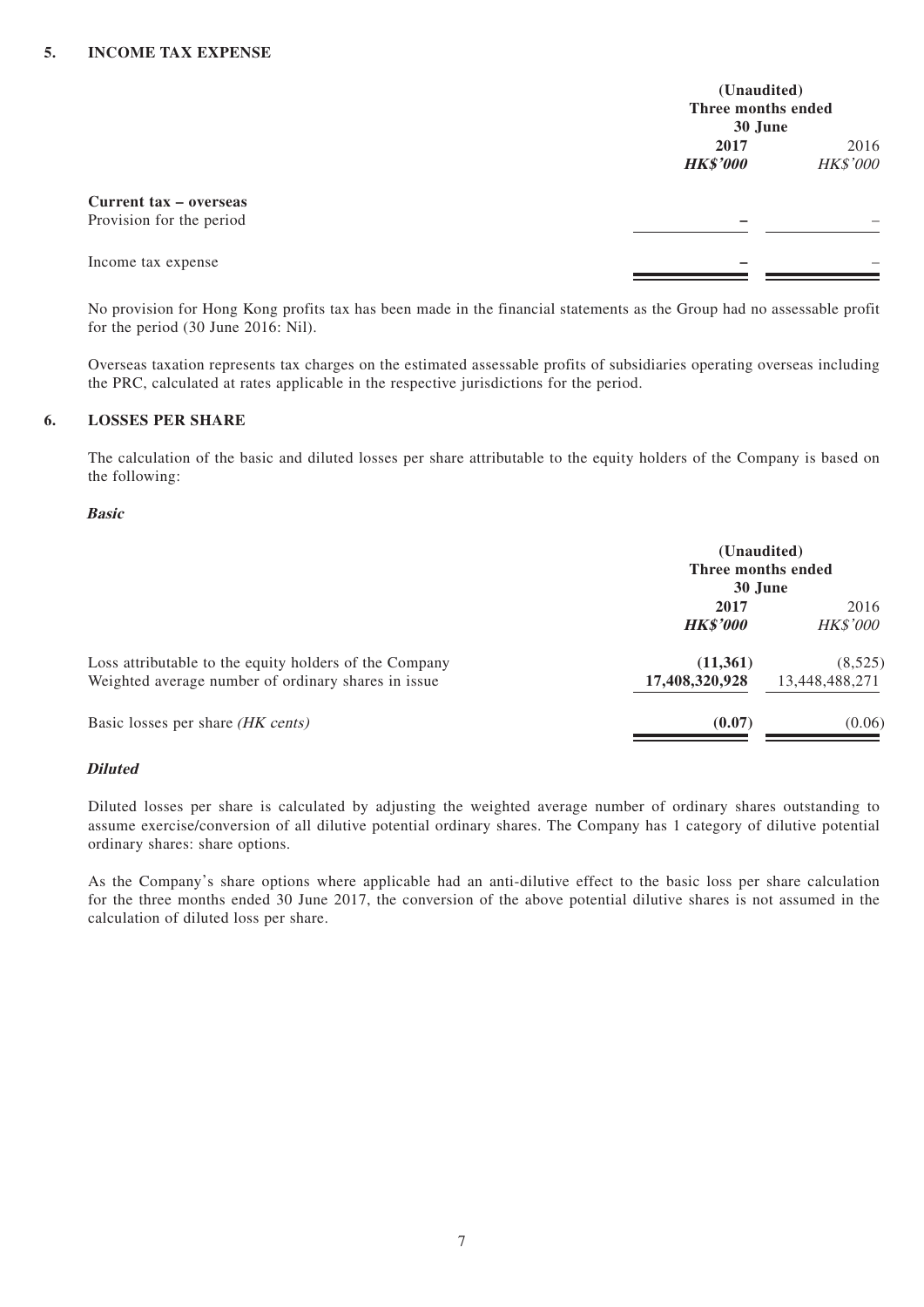|                                                    | (Unaudited)<br>Three months ended<br>30 June |                  |
|----------------------------------------------------|----------------------------------------------|------------------|
|                                                    | 2017<br><b>HK\$'000</b>                      | 2016<br>HK\$'000 |
| Current tax – overseas<br>Provision for the period |                                              |                  |
| Income tax expense                                 |                                              |                  |

No provision for Hong Kong profits tax has been made in the financial statements as the Group had no assessable profit for the period (30 June 2016: Nil).

Overseas taxation represents tax charges on the estimated assessable profits of subsidiaries operating overseas including the PRC, calculated at rates applicable in the respective jurisdictions for the period.

#### **6. LOSSES PER SHARE**

The calculation of the basic and diluted losses per share attributable to the equity holders of the Company is based on the following:

#### **Basic**

|                                                        | (Unaudited)<br>Three months ended |                 |  |
|--------------------------------------------------------|-----------------------------------|-----------------|--|
|                                                        | 30 June                           |                 |  |
|                                                        | 2017                              |                 |  |
|                                                        | <b>HK\$'000</b>                   | <i>HK\$'000</i> |  |
| Loss attributable to the equity holders of the Company | (11,361)                          | (8,525)         |  |
| Weighted average number of ordinary shares in issue    | 17,408,320,928                    | 13,448,488,271  |  |
| Basic losses per share (HK cents)                      | (0.07)                            | (0.06)          |  |

#### **Diluted**

Diluted losses per share is calculated by adjusting the weighted average number of ordinary shares outstanding to assume exercise/conversion of all dilutive potential ordinary shares. The Company has 1 category of dilutive potential ordinary shares: share options.

As the Company's share options where applicable had an anti-dilutive effect to the basic loss per share calculation for the three months ended 30 June 2017, the conversion of the above potential dilutive shares is not assumed in the calculation of diluted loss per share.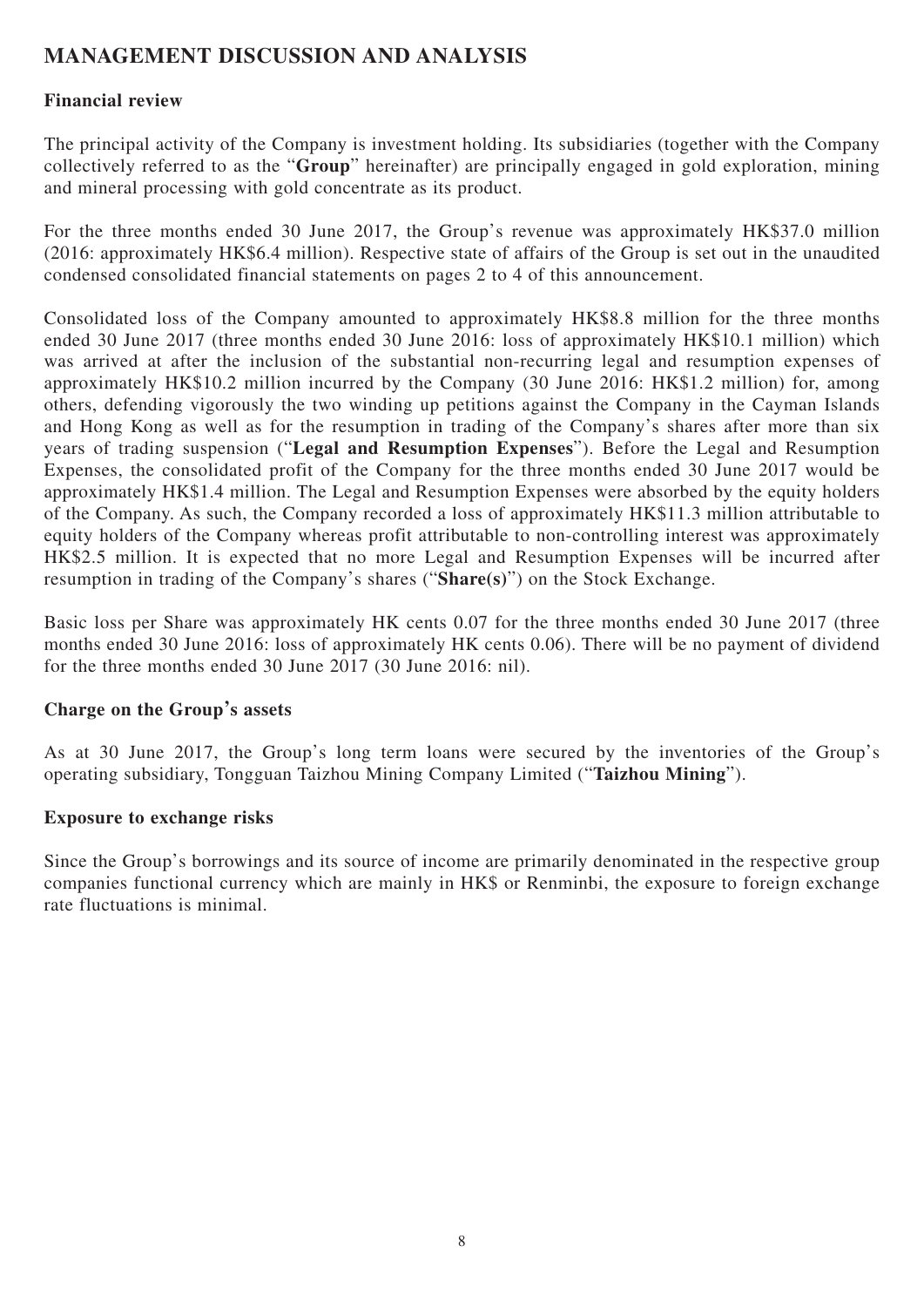# **MANAGEMENT DISCUSSION AND ANALYSIS**

## **Financial review**

The principal activity of the Company is investment holding. Its subsidiaries (together with the Company collectively referred to as the "**Group**" hereinafter) are principally engaged in gold exploration, mining and mineral processing with gold concentrate as its product.

For the three months ended 30 June 2017, the Group's revenue was approximately HK\$37.0 million (2016: approximately HK\$6.4 million). Respective state of affairs of the Group is set out in the unaudited condensed consolidated financial statements on pages 2 to 4 of this announcement.

Consolidated loss of the Company amounted to approximately HK\$8.8 million for the three months ended 30 June 2017 (three months ended 30 June 2016: loss of approximately HK\$10.1 million) which was arrived at after the inclusion of the substantial non-recurring legal and resumption expenses of approximately HK\$10.2 million incurred by the Company (30 June 2016: HK\$1.2 million) for, among others, defending vigorously the two winding up petitions against the Company in the Cayman Islands and Hong Kong as well as for the resumption in trading of the Company's shares after more than six years of trading suspension ("**Legal and Resumption Expenses**"). Before the Legal and Resumption Expenses, the consolidated profit of the Company for the three months ended 30 June 2017 would be approximately HK\$1.4 million. The Legal and Resumption Expenses were absorbed by the equity holders of the Company. As such, the Company recorded a loss of approximately HK\$11.3 million attributable to equity holders of the Company whereas profit attributable to non-controlling interest was approximately HK\$2.5 million. It is expected that no more Legal and Resumption Expenses will be incurred after resumption in trading of the Company's shares ("**Share(s)**") on the Stock Exchange.

Basic loss per Share was approximately HK cents 0.07 for the three months ended 30 June 2017 (three months ended 30 June 2016: loss of approximately HK cents 0.06). There will be no payment of dividend for the three months ended 30 June 2017 (30 June 2016: nil).

## **Charge on the Group's assets**

As at 30 June 2017, the Group's long term loans were secured by the inventories of the Group's operating subsidiary, Tongguan Taizhou Mining Company Limited ("**Taizhou Mining**").

### **Exposure to exchange risks**

Since the Group's borrowings and its source of income are primarily denominated in the respective group companies functional currency which are mainly in HK\$ or Renminbi, the exposure to foreign exchange rate fluctuations is minimal.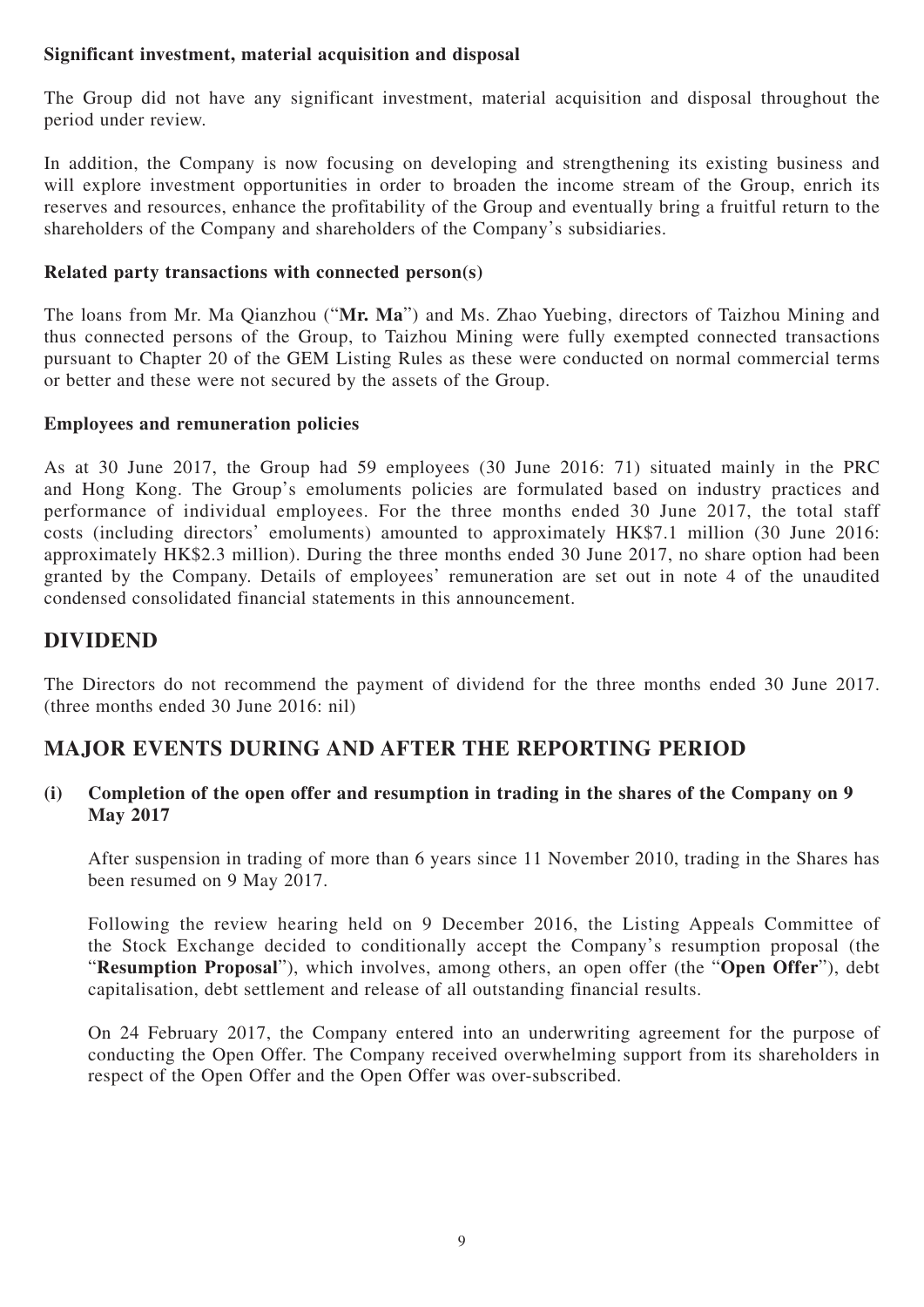## **Significant investment, material acquisition and disposal**

The Group did not have any significant investment, material acquisition and disposal throughout the period under review.

In addition, the Company is now focusing on developing and strengthening its existing business and will explore investment opportunities in order to broaden the income stream of the Group, enrich its reserves and resources, enhance the profitability of the Group and eventually bring a fruitful return to the shareholders of the Company and shareholders of the Company's subsidiaries.

## **Related party transactions with connected person(s)**

The loans from Mr. Ma Qianzhou ("**Mr. Ma**") and Ms. Zhao Yuebing, directors of Taizhou Mining and thus connected persons of the Group, to Taizhou Mining were fully exempted connected transactions pursuant to Chapter 20 of the GEM Listing Rules as these were conducted on normal commercial terms or better and these were not secured by the assets of the Group.

## **Employees and remuneration policies**

As at 30 June 2017, the Group had 59 employees (30 June 2016: 71) situated mainly in the PRC and Hong Kong. The Group's emoluments policies are formulated based on industry practices and performance of individual employees. For the three months ended 30 June 2017, the total staff costs (including directors' emoluments) amounted to approximately HK\$7.1 million (30 June 2016: approximately HK\$2.3 million). During the three months ended 30 June 2017, no share option had been granted by the Company. Details of employees' remuneration are set out in note 4 of the unaudited condensed consolidated financial statements in this announcement.

## **DIVIDEND**

The Directors do not recommend the payment of dividend for the three months ended 30 June 2017. (three months ended 30 June 2016: nil)

# **MAJOR EVENTS DURING AND AFTER THE REPORTING PERIOD**

## **(i) Completion of the open offer and resumption in trading in the shares of the Company on 9 May 2017**

After suspension in trading of more than 6 years since 11 November 2010, trading in the Shares has been resumed on 9 May 2017.

Following the review hearing held on 9 December 2016, the Listing Appeals Committee of the Stock Exchange decided to conditionally accept the Company's resumption proposal (the "**Resumption Proposal**"), which involves, among others, an open offer (the "**Open Offer**"), debt capitalisation, debt settlement and release of all outstanding financial results.

On 24 February 2017, the Company entered into an underwriting agreement for the purpose of conducting the Open Offer. The Company received overwhelming support from its shareholders in respect of the Open Offer and the Open Offer was over-subscribed.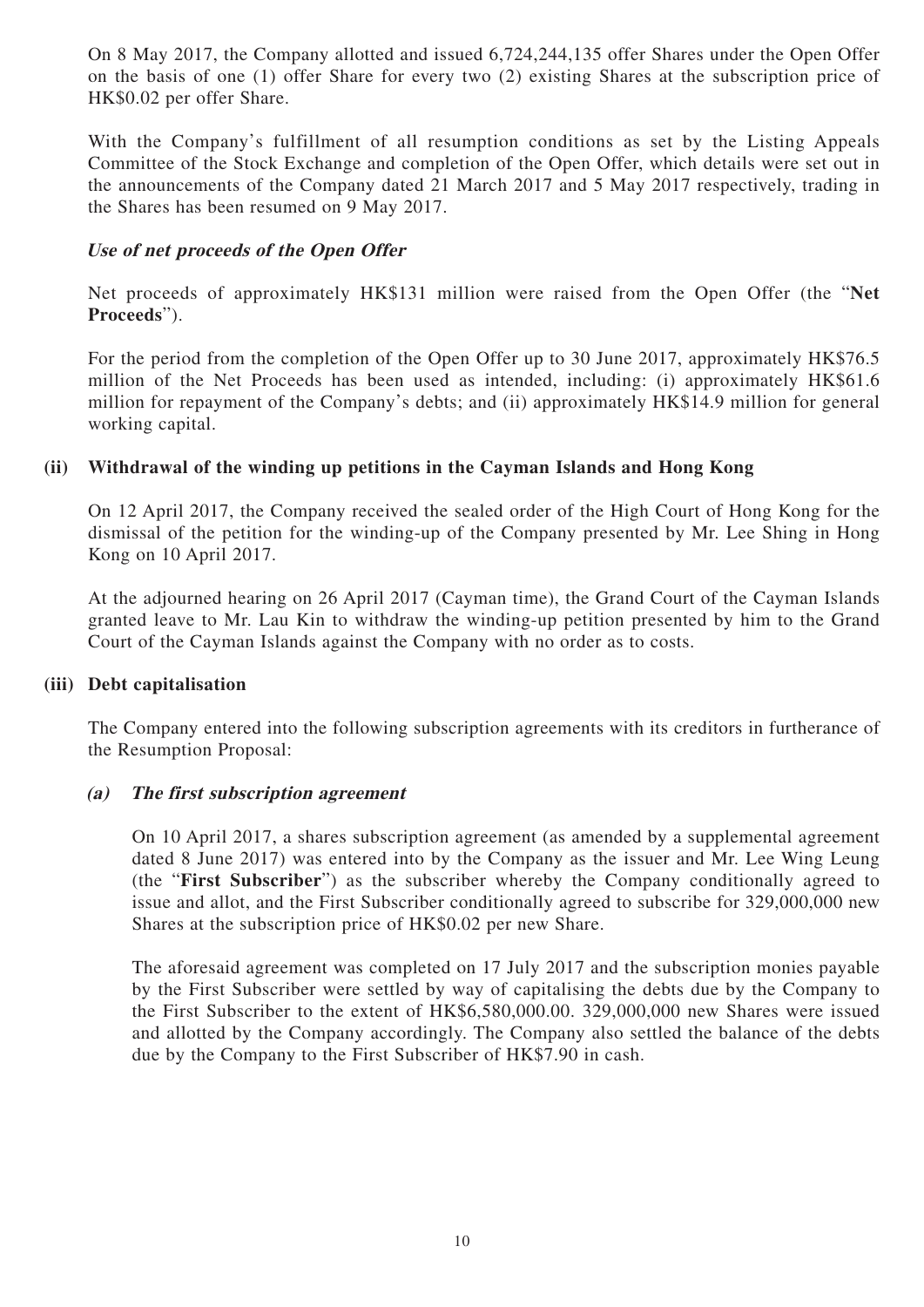On 8 May 2017, the Company allotted and issued 6,724,244,135 offer Shares under the Open Offer on the basis of one (1) offer Share for every two (2) existing Shares at the subscription price of HK\$0.02 per offer Share.

With the Company's fulfillment of all resumption conditions as set by the Listing Appeals Committee of the Stock Exchange and completion of the Open Offer, which details were set out in the announcements of the Company dated 21 March 2017 and 5 May 2017 respectively, trading in the Shares has been resumed on 9 May 2017.

### **Use of net proceeds of the Open Offer**

Net proceeds of approximately HK\$131 million were raised from the Open Offer (the "**Net Proceeds**").

For the period from the completion of the Open Offer up to 30 June 2017, approximately HK\$76.5 million of the Net Proceeds has been used as intended, including: (i) approximately HK\$61.6 million for repayment of the Company's debts; and (ii) approximately HK\$14.9 million for general working capital.

### **(ii) Withdrawal of the winding up petitions in the Cayman Islands and Hong Kong**

On 12 April 2017, the Company received the sealed order of the High Court of Hong Kong for the dismissal of the petition for the winding-up of the Company presented by Mr. Lee Shing in Hong Kong on 10 April 2017.

At the adjourned hearing on 26 April 2017 (Cayman time), the Grand Court of the Cayman Islands granted leave to Mr. Lau Kin to withdraw the winding-up petition presented by him to the Grand Court of the Cayman Islands against the Company with no order as to costs.

### **(iii) Debt capitalisation**

The Company entered into the following subscription agreements with its creditors in furtherance of the Resumption Proposal:

### **(a) The first subscription agreement**

On 10 April 2017, a shares subscription agreement (as amended by a supplemental agreement dated 8 June 2017) was entered into by the Company as the issuer and Mr. Lee Wing Leung (the "**First Subscriber**") as the subscriber whereby the Company conditionally agreed to issue and allot, and the First Subscriber conditionally agreed to subscribe for 329,000,000 new Shares at the subscription price of HK\$0.02 per new Share.

The aforesaid agreement was completed on 17 July 2017 and the subscription monies payable by the First Subscriber were settled by way of capitalising the debts due by the Company to the First Subscriber to the extent of HK\$6,580,000.00. 329,000,000 new Shares were issued and allotted by the Company accordingly. The Company also settled the balance of the debts due by the Company to the First Subscriber of HK\$7.90 in cash.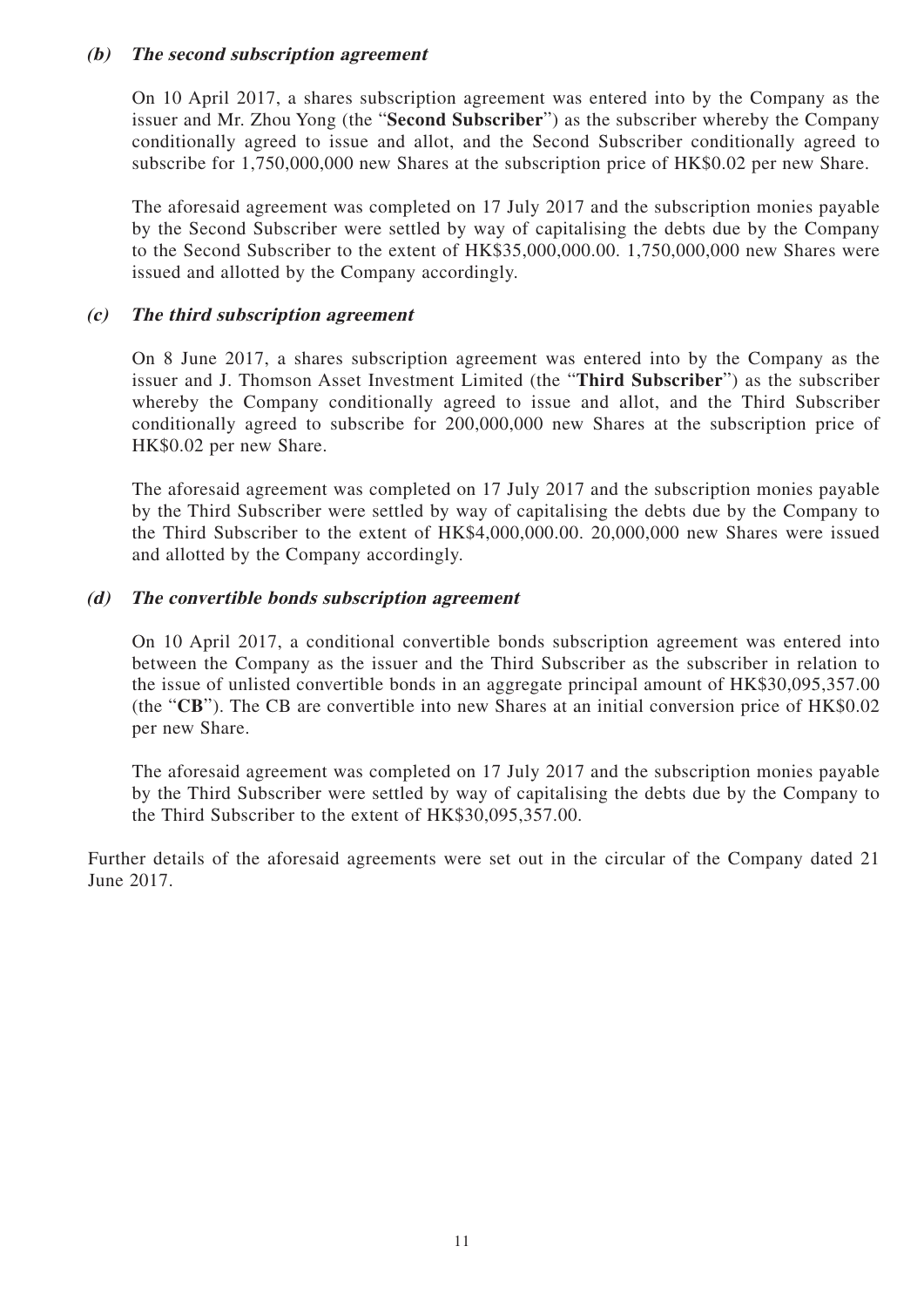### **(b) The second subscription agreement**

On 10 April 2017, a shares subscription agreement was entered into by the Company as the issuer and Mr. Zhou Yong (the "**Second Subscriber**") as the subscriber whereby the Company conditionally agreed to issue and allot, and the Second Subscriber conditionally agreed to subscribe for 1,750,000,000 new Shares at the subscription price of HK\$0.02 per new Share.

The aforesaid agreement was completed on 17 July 2017 and the subscription monies payable by the Second Subscriber were settled by way of capitalising the debts due by the Company to the Second Subscriber to the extent of HK\$35,000,000.00. 1,750,000,000 new Shares were issued and allotted by the Company accordingly.

### **(c) The third subscription agreement**

On 8 June 2017, a shares subscription agreement was entered into by the Company as the issuer and J. Thomson Asset Investment Limited (the "**Third Subscriber**") as the subscriber whereby the Company conditionally agreed to issue and allot, and the Third Subscriber conditionally agreed to subscribe for 200,000,000 new Shares at the subscription price of HK\$0.02 per new Share.

The aforesaid agreement was completed on 17 July 2017 and the subscription monies payable by the Third Subscriber were settled by way of capitalising the debts due by the Company to the Third Subscriber to the extent of HK\$4,000,000.00. 20,000,000 new Shares were issued and allotted by the Company accordingly.

### **(d) The convertible bonds subscription agreement**

On 10 April 2017, a conditional convertible bonds subscription agreement was entered into between the Company as the issuer and the Third Subscriber as the subscriber in relation to the issue of unlisted convertible bonds in an aggregate principal amount of HK\$30,095,357.00 (the "**CB**"). The CB are convertible into new Shares at an initial conversion price of HK\$0.02 per new Share.

The aforesaid agreement was completed on 17 July 2017 and the subscription monies payable by the Third Subscriber were settled by way of capitalising the debts due by the Company to the Third Subscriber to the extent of HK\$30,095,357.00.

Further details of the aforesaid agreements were set out in the circular of the Company dated 21 June 2017.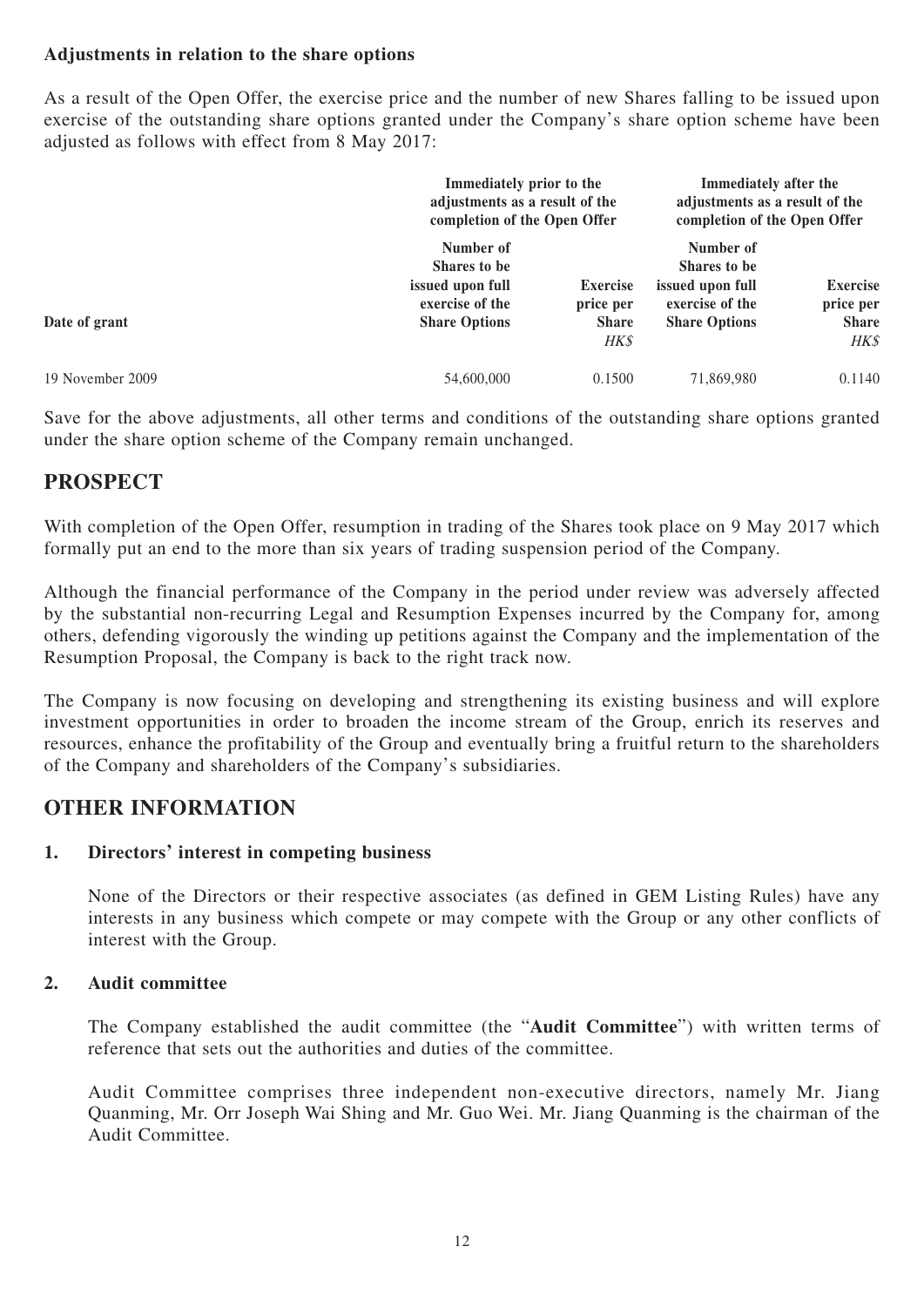## **Adjustments in relation to the share options**

As a result of the Open Offer, the exercise price and the number of new Shares falling to be issued upon exercise of the outstanding share options granted under the Company's share option scheme have been adjusted as follows with effect from 8 May 2017:

|                  |                                                                                          | Immediately prior to the<br>adjustments as a result of the<br>completion of the Open Offer |                                                                                          | Immediately after the<br>adjustments as a result of the<br>completion of the Open Offer |
|------------------|------------------------------------------------------------------------------------------|--------------------------------------------------------------------------------------------|------------------------------------------------------------------------------------------|-----------------------------------------------------------------------------------------|
| Date of grant    | Number of<br>Shares to be<br>issued upon full<br>exercise of the<br><b>Share Options</b> | <b>Exercise</b><br>price per<br><b>Share</b><br>HK\$                                       | Number of<br>Shares to be<br>issued upon full<br>exercise of the<br><b>Share Options</b> | <b>Exercise</b><br>price per<br><b>Share</b><br>HK\$                                    |
| 19 November 2009 | 54,600,000                                                                               | 0.1500                                                                                     | 71,869,980                                                                               | 0.1140                                                                                  |

Save for the above adjustments, all other terms and conditions of the outstanding share options granted under the share option scheme of the Company remain unchanged.

## **PROSPECT**

With completion of the Open Offer, resumption in trading of the Shares took place on 9 May 2017 which formally put an end to the more than six years of trading suspension period of the Company.

Although the financial performance of the Company in the period under review was adversely affected by the substantial non-recurring Legal and Resumption Expenses incurred by the Company for, among others, defending vigorously the winding up petitions against the Company and the implementation of the Resumption Proposal, the Company is back to the right track now.

The Company is now focusing on developing and strengthening its existing business and will explore investment opportunities in order to broaden the income stream of the Group, enrich its reserves and resources, enhance the profitability of the Group and eventually bring a fruitful return to the shareholders of the Company and shareholders of the Company's subsidiaries.

## **OTHER INFORMATION**

## **1. Directors' interest in competing business**

None of the Directors or their respective associates (as defined in GEM Listing Rules) have any interests in any business which compete or may compete with the Group or any other conflicts of interest with the Group.

## **2. Audit committee**

The Company established the audit committee (the "**Audit Committee**") with written terms of reference that sets out the authorities and duties of the committee.

Audit Committee comprises three independent non-executive directors, namely Mr. Jiang Quanming, Mr. Orr Joseph Wai Shing and Mr. Guo Wei. Mr. Jiang Quanming is the chairman of the Audit Committee.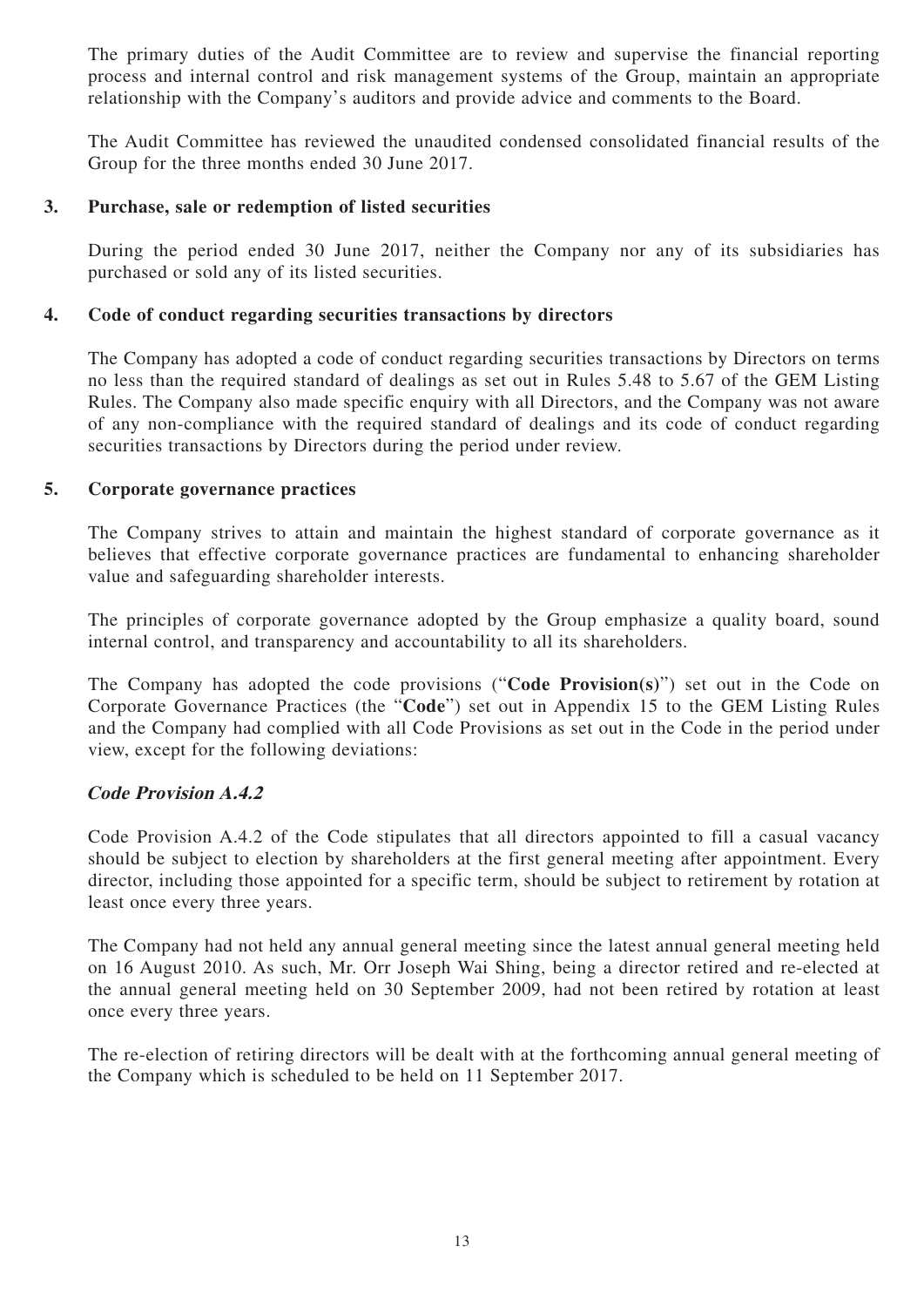The primary duties of the Audit Committee are to review and supervise the financial reporting process and internal control and risk management systems of the Group, maintain an appropriate relationship with the Company's auditors and provide advice and comments to the Board.

The Audit Committee has reviewed the unaudited condensed consolidated financial results of the Group for the three months ended 30 June 2017.

### **3. Purchase, sale or redemption of listed securities**

During the period ended 30 June 2017, neither the Company nor any of its subsidiaries has purchased or sold any of its listed securities.

### **4. Code of conduct regarding securities transactions by directors**

The Company has adopted a code of conduct regarding securities transactions by Directors on terms no less than the required standard of dealings as set out in Rules 5.48 to 5.67 of the GEM Listing Rules. The Company also made specific enquiry with all Directors, and the Company was not aware of any non-compliance with the required standard of dealings and its code of conduct regarding securities transactions by Directors during the period under review.

## **5. Corporate governance practices**

The Company strives to attain and maintain the highest standard of corporate governance as it believes that effective corporate governance practices are fundamental to enhancing shareholder value and safeguarding shareholder interests.

The principles of corporate governance adopted by the Group emphasize a quality board, sound internal control, and transparency and accountability to all its shareholders.

The Company has adopted the code provisions ("**Code Provision(s)**") set out in the Code on Corporate Governance Practices (the "**Code**") set out in Appendix 15 to the GEM Listing Rules and the Company had complied with all Code Provisions as set out in the Code in the period under view, except for the following deviations:

## **Code Provision A.4.2**

Code Provision A.4.2 of the Code stipulates that all directors appointed to fill a casual vacancy should be subject to election by shareholders at the first general meeting after appointment. Every director, including those appointed for a specific term, should be subject to retirement by rotation at least once every three years.

The Company had not held any annual general meeting since the latest annual general meeting held on 16 August 2010. As such, Mr. Orr Joseph Wai Shing, being a director retired and re-elected at the annual general meeting held on 30 September 2009, had not been retired by rotation at least once every three years.

The re-election of retiring directors will be dealt with at the forthcoming annual general meeting of the Company which is scheduled to be held on 11 September 2017.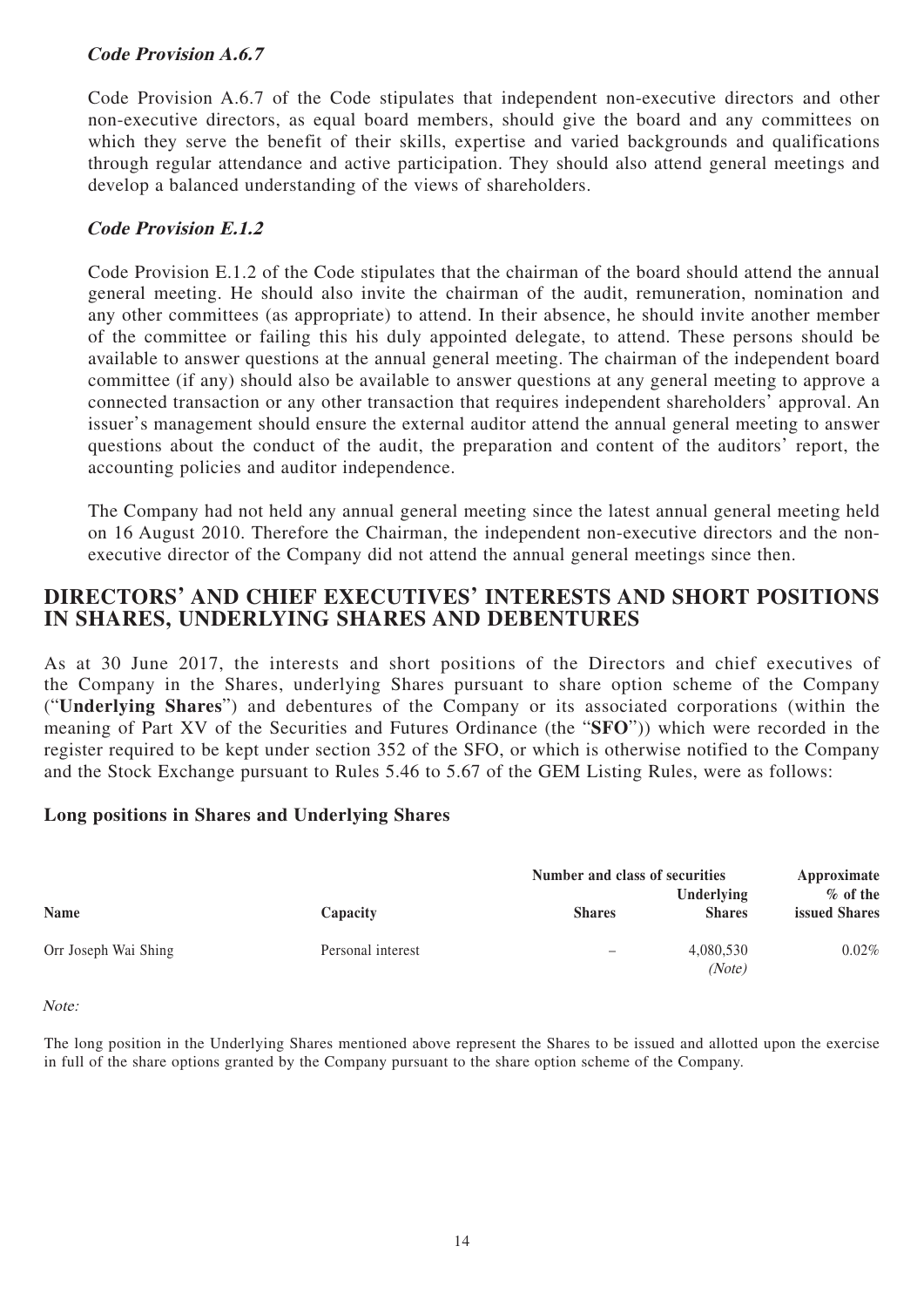## **Code Provision A.6.7**

Code Provision A.6.7 of the Code stipulates that independent non-executive directors and other non-executive directors, as equal board members, should give the board and any committees on which they serve the benefit of their skills, expertise and varied backgrounds and qualifications through regular attendance and active participation. They should also attend general meetings and develop a balanced understanding of the views of shareholders.

## **Code Provision E.1.2**

Code Provision E.1.2 of the Code stipulates that the chairman of the board should attend the annual general meeting. He should also invite the chairman of the audit, remuneration, nomination and any other committees (as appropriate) to attend. In their absence, he should invite another member of the committee or failing this his duly appointed delegate, to attend. These persons should be available to answer questions at the annual general meeting. The chairman of the independent board committee (if any) should also be available to answer questions at any general meeting to approve a connected transaction or any other transaction that requires independent shareholders' approval. An issuer's management should ensure the external auditor attend the annual general meeting to answer questions about the conduct of the audit, the preparation and content of the auditors' report, the accounting policies and auditor independence.

The Company had not held any annual general meeting since the latest annual general meeting held on 16 August 2010. Therefore the Chairman, the independent non-executive directors and the nonexecutive director of the Company did not attend the annual general meetings since then.

## **DIRECTORS' AND CHIEF EXECUTIVES' INTERESTS AND SHORT POSITIONS IN SHARES, UNDERLYING SHARES AND DEBENTURES**

As at 30 June 2017, the interests and short positions of the Directors and chief executives of the Company in the Shares, underlying Shares pursuant to share option scheme of the Company ("**Underlying Shares**") and debentures of the Company or its associated corporations (within the meaning of Part XV of the Securities and Futures Ordinance (the "**SFO**")) which were recorded in the register required to be kept under section 352 of the SFO, or which is otherwise notified to the Company and the Stock Exchange pursuant to Rules 5.46 to 5.67 of the GEM Listing Rules, were as follows:

## **Long positions in Shares and Underlying Shares**

|                      |                   | Number and class of securities | Approximate                 |                                     |
|----------------------|-------------------|--------------------------------|-----------------------------|-------------------------------------|
| <b>Name</b>          | Capacity          | <b>Shares</b>                  | Underlying<br><b>Shares</b> | $\%$ of the<br><b>issued Shares</b> |
| Orr Joseph Wai Shing | Personal interest | -                              | 4,080,530<br>(Note)         | $0.02\%$                            |

Note:

The long position in the Underlying Shares mentioned above represent the Shares to be issued and allotted upon the exercise in full of the share options granted by the Company pursuant to the share option scheme of the Company.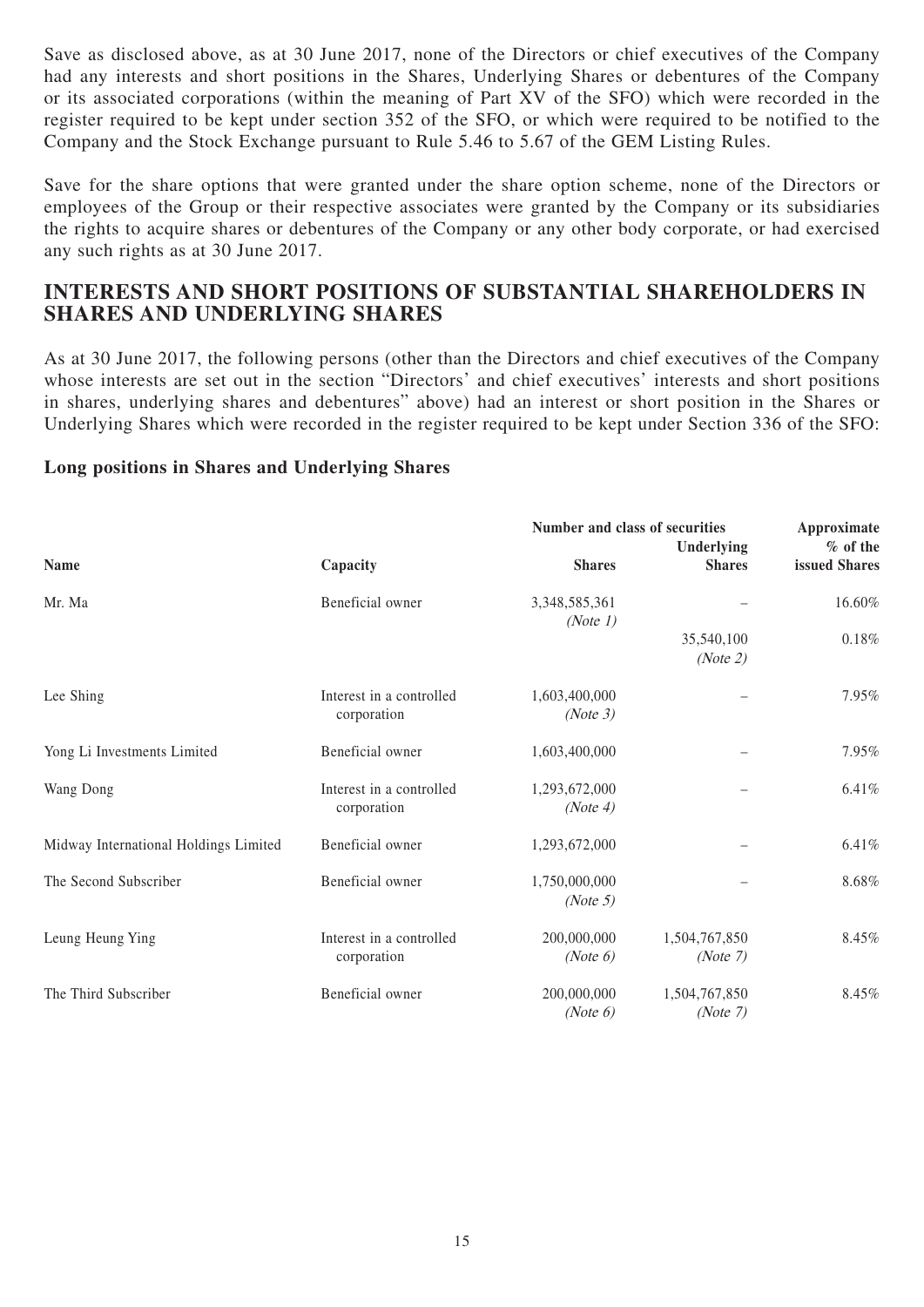Save as disclosed above, as at 30 June 2017, none of the Directors or chief executives of the Company had any interests and short positions in the Shares, Underlying Shares or debentures of the Company or its associated corporations (within the meaning of Part XV of the SFO) which were recorded in the register required to be kept under section 352 of the SFO, or which were required to be notified to the Company and the Stock Exchange pursuant to Rule 5.46 to 5.67 of the GEM Listing Rules.

Save for the share options that were granted under the share option scheme, none of the Directors or employees of the Group or their respective associates were granted by the Company or its subsidiaries the rights to acquire shares or debentures of the Company or any other body corporate, or had exercised any such rights as at 30 June 2017.

## **INTERESTS AND SHORT POSITIONS OF SUBSTANTIAL SHAREHOLDERS IN SHARES AND UNDERLYING SHARES**

As at 30 June 2017, the following persons (other than the Directors and chief executives of the Company whose interests are set out in the section "Directors' and chief executives' interests and short positions in shares, underlying shares and debentures" above) had an interest or short position in the Shares or Underlying Shares which were recorded in the register required to be kept under Section 336 of the SFO:

### **Long positions in Shares and Underlying Shares**

|                                       |                                         | Number and class of securities | Approximate               |               |
|---------------------------------------|-----------------------------------------|--------------------------------|---------------------------|---------------|
|                                       |                                         |                                | Underlying                | $%$ of the    |
| <b>Name</b>                           | Capacity                                | <b>Shares</b>                  | <b>Shares</b>             | issued Shares |
| Mr. Ma                                | Beneficial owner                        | 3,348,585,361<br>(Note 1)      |                           | 16.60%        |
|                                       |                                         |                                | 35,540,100<br>(Note 2)    | 0.18%         |
| Lee Shing                             | Interest in a controlled<br>corporation | 1,603,400,000<br>(Note 3)      |                           | 7.95%         |
| Yong Li Investments Limited           | Beneficial owner                        | 1,603,400,000                  |                           | 7.95%         |
| Wang Dong                             | Interest in a controlled<br>corporation | 1,293,672,000<br>(Note 4)      |                           | 6.41%         |
| Midway International Holdings Limited | Beneficial owner                        | 1,293,672,000                  |                           | 6.41%         |
| The Second Subscriber                 | Beneficial owner                        | 1,750,000,000<br>(Note 5)      |                           | 8.68%         |
| Leung Heung Ying                      | Interest in a controlled<br>corporation | 200,000,000<br>(Note 6)        | 1,504,767,850<br>(Note 7) | 8.45%         |
| The Third Subscriber                  | Beneficial owner                        | 200,000,000<br>(Note 6)        | 1,504,767,850<br>(Note 7) | 8.45%         |